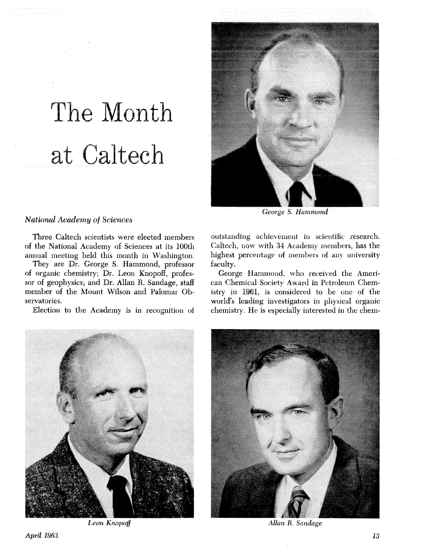# The Month at Caltech



*'National Academy of Sciences* 

Three Caltech scientists were elected members of the National Academy of Sciences at its 100th annual meeting held this month in Washington.

They are Dr. George **S.** Hammond, professor of organic chemistry; Dr. Leon Knopoff, professor of geophysics; and Dr. Allan R. Sandage, staff member of the Mount Wilson and Palomar Observatories.

Election to the Academy is in recognition of



outstanding achievement in scientific research. Caltech, now with 34 Academy members, has the highest percentage of members of any university faculty.

George Hammond, who received the American Chemical Society Award in Petroleum Chemistry in 1961, is considered to be one of the world's leading investigators in physical organic chemistry. He is especially interested in the chem-





*Leon Knopoff Allan R. Sandage*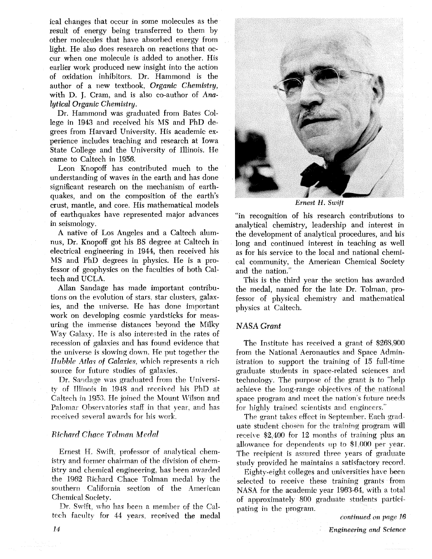ical changes that occur in some molecules as the result of energy being transferred to them by other molecules that have absorbed energy from light. He also does research on reactions that occur when one molecule is added to another. His earlier work produced new insight into the action of oxidation inhibitors. Dr. Hammond is the author of a new textbook, Organic Chemistry, with D. J. Cram, and is also co-author of Analytical Organic Chemistry.

Dr. Hammond was graduated from Bates College in 1943 and received his MS and PhD degrees from Harvard University. His academic experience includes teaching and research at Iowa State College and the University of Illinois. He came to Caltech in 1956.

Leon Knopoff has contributed much to the understanding of waves in the earth and has done significant research on the mechanism of earthquakes, and on the composition of the earth's crust, mantle, and core. His mathematical models of earthquakes have represented major advances in seismology.

**A** native of Los Angeles and a Caltech alumnus, Dr. Knopoff got his BS degree at Caltech in electrical engineering in 1944, then received his MS and PhD degrees in physics. He is a professor of geophysics on the faculties of both Caltech and UCLA.

Allan Sandage has made important contributions on the evolution of stars, star clusters, galaxies, and the universe. He has done important work on developing cosmic yardsticks for measuring the immense distances beyond the Milky Way Galaxy. He is also interested in the rates of recession of galaxies and has found evidence that the universe is slowing down. He put together the *Hubble Atlas of Galaxies, which represents a rich* source for future studies of galaxies.

Dr. Sandage was graduated from the University of Illinois in 1948 and received his PhD at Caltech in 1953. He joined the Mount Wilson and Palomar Observatories staff in that year, and has received several awards for his work.

#### **Richard Chace Tolman Medal**

Ernest H. Swift, professor of analytical chemistry and former chairman of the division of chernistry and chemical engineering, has been awarded the 1962 Richard Chace Tolman medal by the southern California section of the American Chemical Society.

Dr. Swift, who has been a member of the Caltcch faculty for 44 years, received the medal



Ernest *H.* **Swift** 

"in recognition of his research contributions to analytical chemistry, leadership and interest in the development of analytical procedures, and his long and continued interest in teaching as well as for his service to the local and national chemical community, the American Chemical Society and the nation."

This is the third year the section has awarded the medal, named for the late Dr. Tolman, professor of physical chemistry and mathematical physics at Caltech.

#### **NASA** *Grant*

The Institute has received a grant of \$268,900 from the National Aeronautics and Space Administration to support the training of 15 full-time graduate students in space-related sciences and technology. The purpose of the grant is to "help" achieve the long-range objectives of the national space program and meet the nation's future needs for highly trained scientists and engineers."

The grant takes effect in September. Each graduate student chosen for the training program will receixe \$2,400 for 12 months of training plus an allowance for dependents up to \$1 **000** per year. The recipient is assured three years of graduate study provided he maintains a satisfactory record.

Eighty-eight colleges and universities have been selected to receive these training grants from NASA for the academic year 1963-64. with a total of approximately 800 graduate students participating in the program.

continued on page 16

14 Engineering and *Science*